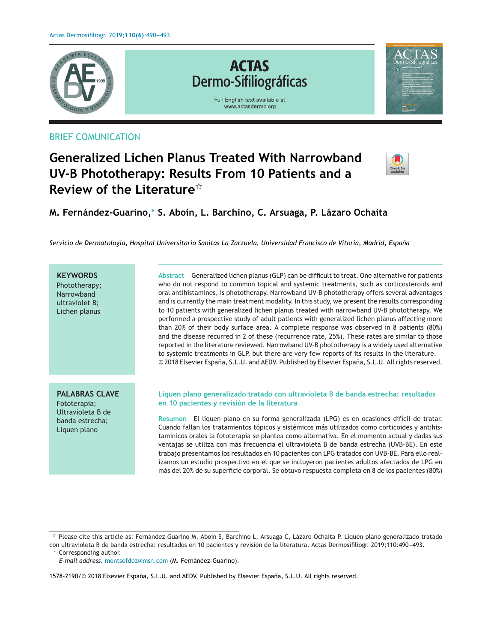

## BRIEF COMUNICATION

# **Generalized Lichen Planus Treated With Narrowband UV-B Phototherapy: Results From 10 Patients and a Review of the Literature**-

**M. Fernández-Guarino,<sup>∗</sup> S. Aboín, L. Barchino, C. Arsuaga, P. Lázaro Ochaita**

*Servicio de Dermatología, Hospital Universitario Sanitas La Zarzuela, Universidad Francisco de Vitoria, Madrid, Espana˜*

**KEYWORDS** Phototherapy; **Narrowband** ultraviolet B; Lichen planus **Abstract** Generalized lichen planus (GLP) can be difficult to treat. One alternative for patients who do not respond to common topical and systemic treatments, such as corticosteroids and oral antihistamines, is phototherapy. Narrowband UV-B phototherapy offers several advantages and is currently the main treatment modality. In this study, we present the results corresponding to 10 patients with generalized lichen planus treated with narrowband UV-B phototherapy. We performed a prospective study of adult patients with generalized lichen planus affecting more than 20% of their body surface area. A complete response was observed in 8 patients (80%) and the disease recurred in 2 of these (recurrence rate, 25%). These rates are similar to those reported in the literature reviewed. Narrowband UV-B phototherapy is a widely used alternative to systemic treatments in GLP, but there are very few reports of its results in the literature. © 2018 Elsevier España, S.L.U. and AEDV. Published by Elsevier España, S.L.U. All rights reserved. **PALABRAS CLAVE** Fototerapia; Ultravioleta B de banda estrecha; Liquen plano **Liquen plano generalizado tratado con ultravioleta B de banda estrecha: resultados en 10 pacientes y revisión de la literatura Resumen** El liquen plano en su forma generalizada (LPG) es en ocasiones difícil de tratar. Cuando fallan los tratamientos tópicos y sistémicos más utilizados como corticoides y antihistamínicos orales la fototerapia se plantea como alternativa. En el momento actual y dadas sus ventajas se utiliza con más frecuencia el ultravioleta B de banda estrecha (UVB-BE). En este trabajo presentamos los resultados en 10 pacientes con LPG tratados con UVB-BE. Para ello realizamos un estudio prospectivo en el que se incluyeron pacientes adultos afectados de LPG en más del 20% de su superficie corporal. Se obtuvo respuesta completa en 8 de los pacientes (80%)

∗ Corresponding author.

<sup>-</sup> Please cite this article as: Fernández-Guarino M, Aboín S, Barchino L, Arsuaga C, Lázaro Ochaita P. Liquen plano generalizado tratado con ultravioleta B de banda estrecha: resultados en 10 pacientes y revisión de la literatura. Actas Dermosifiliogr. 2019;110:490-493.

*E-mail address:* [montsefdez@msn.com](mailto:montsefdez@msn.com) (M. Fernández-Guarino).

<sup>1578-2190/© 2018</sup> Elsevier España, S.L.U. and AEDV. Published by Elsevier España, S.L.U. All rights reserved.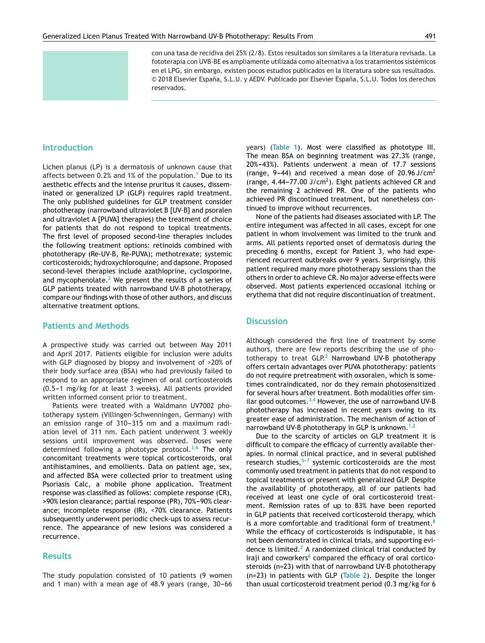con una tasa de recidiva del 25% (2/8). Estos resultados son similares a la literatura revisada. La fototerapia con UVB-BE es ampliamente utilizada como alternativa a los tratamientos sistémicos en el LPG, sin embargo, existen pocos estudios publicados en la literatura sobre sus resultados. © 2018 Elsevier España, S.L.U. y AEDV. Publicado por Elsevier España, S.L.U. Todos los derechos reservados.

#### **Introduction**

Lichen planus (LP) is a dermatosis of unknown cause that affects between 0.2% and [1](#page-3-0)% of the population.<sup>1</sup> Due to its aesthetic effects and the intense pruritus it causes, disseminated or generalized LP (GLP) requires rapid treatment. The only published guidelines for GLP treatment consider phototherapy (narrowband ultraviolet B [UV-B] and psoralen and ultraviolet A [PUVA] therapies) the treatment of choice for patients that do not respond to topical treatments. The first level of proposed second-line therapies includes the following treatment options: retinoids combined with phototherapy (Re-UV-B, Re-PUVA); methotrexate; systemic corticosteroids; hydroxychloroquine; and dapsone. Proposed second-level therapies include azathioprine, cyclosporine, and mycophenolate. $2$  We present the results of a series of GLP patients treated with narrowband UV-B phototherapy, compare our findings with those of other authors, and discuss alternative treatment options.

#### **Patients and Methods**

A prospective study was carried out between May 2011 and April 2017. Patients eligible for inclusion were adults with GLP diagnosed by biopsy and involvement of >20% of their body surface area (BSA) who had previously failed to respond to an appropriate regimen of oral corticosteroids  $(0.5-1$  mg/kg for at least 3 weeks). All patients provided written informed consent prior to treatment.

Patients were treated with a Waldmann UV7002 phototherapy system (Villingen-Schwenningen, Germany) with an emission range of 310-315 nm and a maximum radiation level of 311 nm. Each patient underwent 3 weekly sessions until improvement was observed. Doses were determined following a phototype protocol. $3,4$  The only concomitant treatments were topical corticosteroids, oral antihistamines, and emollients. Data on patient age, sex, and affected BSA were collected prior to treatment using Psoriasis Calc, a mobile phone application. Treatment response was classified as follows: complete response (CR), >90% lesion clearance; partial response (PR), 70%-90% clearance; incomplete response (IR), <70% clearance. Patients subsequently underwent periodic check-ups to assess recurrence. The appearance of new lesions was considered a recurrence.

#### **Results**

The study population consisted of 10 patients (9 women and 1 man) with a mean age of  $48.9$  years (range,  $30-66$  years) ([Table](#page-2-0) 1). Most were classified as phototype III. The mean BSA on beginning treatment was 27.3% (range, 20%-43%). Patients underwent a mean of 17.7 sessions (range, 9-44) and received a mean dose of  $20.96$  J/cm<sup>2</sup> (range, 4.44–77.00 J/cm<sup>2</sup>). Eight patients achieved CR and the remaining 2 achieved PR. One of the patients who achieved PR discontinued treatment, but nonetheless continued to improve without recurrences.

None of the patients had diseases associated with LP. The entire integument was affected in all cases, except for one patient in whom involvement was limited to the trunk and arms. All patients reported onset of dermatosis during the preceding 6 months, except for Patient 3, who had experienced recurrent outbreaks over 9 years. Surprisingly, this patient required many more phototherapy sessions than the others in order to achieve CR. No major adverse effects were observed. Most patients experienced occasional itching or erythema that did not require discontinuation of treatment.

#### **Discussion**

Although considered the first line of treatment by some authors, there are few reports describing the use of phototherapy to treat  $GLP<sup>2</sup>$  $GLP<sup>2</sup>$  $GLP<sup>2</sup>$  Narrowband UV-B phototherapy offers certain advantages over PUVA phototherapy: patients do not require pretreatment with oxsoralen, which is sometimes contraindicated, nor do they remain photosensitized for several hours after treatment. Both modalities offer similar good outcomes. $^{3,4}$  $^{3,4}$  $^{3,4}$  However, the use of narrowband UV-B phototherapy has increased in recent years owing to its greater ease of administration. The mechanism of action of narrowband UV-B phototherapy in GLP is unknown.<sup>[1,2](#page-3-0)</sup>

Due to the scarcity of articles on GLP treatment it is difficult to compare the efficacy of currently available therapies. In normal clinical practice, and in several published research studies, $5-7$  systemic corticosteroids are the most commonly used treatment in patients that do not respond to topical treatments or present with generalized GLP. Despite the availability of phototherapy, all of our patients had received at least one cycle of oral corticosteroid treatment. Remission rates of up to 83% have been reported in GLP patients that received corticosteroid therapy, which is a more comfortable and traditional form of treatment. $8$ While the efficacy of corticosteroids is indisputable, it has not been demonstrated in clinical trials, and supporting evidence is limited. $<sup>2</sup>$  $<sup>2</sup>$  $<sup>2</sup>$  A randomized clinical trial conducted by</sup> Iraji and coworkers $6$  compared the efficacy of oral corticosteroids (n=23) with that of narrowband UV-B phototherapy (n=23) in patients with GLP ([Table](#page-2-0) 2). Despite the longer than usual corticosteroid treatment period (0.3 mg/kg for 6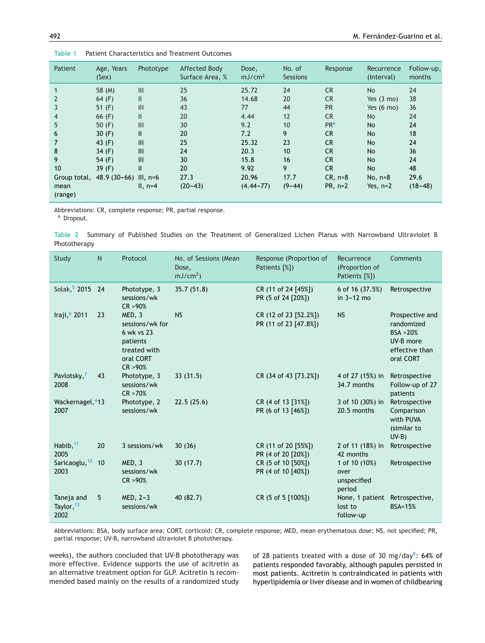| Patient         | Age, Years<br>(Sex) | Phototype  | Affected Body<br>Surface Area, % | Dose,<br>mJ/cm <sup>2</sup> | No. of<br><b>Sessions</b> | Response        | Recurrence<br>(Interval) | Follow-up,<br>months |
|-----------------|---------------------|------------|----------------------------------|-----------------------------|---------------------------|-----------------|--------------------------|----------------------|
|                 | 58 (M)              | III        | 25                               | 25.72                       | 24                        | <b>CR</b>       | <b>No</b>                | 24                   |
| $\overline{2}$  | 64 $(F)$            | Ш          | 36                               | 14.68                       | 20                        | <b>CR</b>       | Yes $(3 \text{ mo})$     | 38                   |
| 3               | 51 $(F)$            | Ш          | 43                               | 77                          | 44                        | <b>PR</b>       | Yes $(6 \text{ mo})$     | 36                   |
| $\overline{4}$  | 66 $(F)$            | Ш          | 20                               | 4.44                        | 12                        | <b>CR</b>       | N <sub>o</sub>           | 24                   |
| 5               | 50 $(F)$            | III        | 30                               | 9.2                         | 10                        | PR <sup>a</sup> | <b>No</b>                | 24                   |
| 6               | 30 $(F)$            | Ш          | 20                               | 7.2                         | 9                         | <b>CR</b>       | <b>No</b>                | 18                   |
| 7               | 43 $(F)$            | III        | 25                               | 25.32                       | 23                        | <b>CR</b>       | <b>No</b>                | 24                   |
| 8               | 34 $(F)$            | III        | 24                               | 20.3                        | 10                        | <b>CR</b>       | <b>No</b>                | 36                   |
| 9               | 54 (F)              | Ш          | 30                               | 15.8                        | 16                        | <b>CR</b>       | <b>No</b>                | 24                   |
| 10              | 39 $(F)$            | II         | 20                               | 9.92                        | 9                         | CR.             | <b>No</b>                | 48                   |
| Group total,    | $48.9(30-66)$       | III, $n=6$ | 27.3                             | 20.96                       | 17.7                      | $CR, n=8$       | No, $n=8$                | 29.6                 |
| mean<br>(range) |                     | II, $n=4$  | $(20-43)$                        | $(4.44 - 77)$               | $(9-44)$                  | $PR, n=2$       | Yes, $n=2$               | $(18 - 48)$          |

<span id="page-2-0"></span>**Table 1** Patient Characteristics and Treatment Outcomes

Abbreviations: CR, complete response; PR, partial response.

a Dropout.

**Table 2** Summary of Published Studies on the Treatment of Generalized Lichen Planus with Narrowband Ultraviolet B Phototherapy

| Study                                | N  | Protocol                                                                                     | No. of Sessions (Mean<br>Dose,<br>$mJ/cm2$ ) | Response (Proportion of<br>Patients [%])       | Recurrence<br>(Proportion of<br>Patients [%])  | Comments                                                                              |
|--------------------------------------|----|----------------------------------------------------------------------------------------------|----------------------------------------------|------------------------------------------------|------------------------------------------------|---------------------------------------------------------------------------------------|
| Solak, 5 2015 24                     |    | Phototype, 3<br>sessions/wk<br>CR > 90%                                                      | 35.7(51.8)                                   | CR (11 of 24 [45%])<br>PR (5 of 24 [20%])      | 6 of 16 (37.5%)<br>in 3-12 mo                  | Retrospective                                                                         |
| Iraji, 6 2011                        | 23 | MED, 3<br>sessions/wk for<br>6 wk vs 23<br>patients<br>treated with<br>oral CORT<br>CR > 90% | <b>NS</b>                                    | CR (12 of 23 [52.2%])<br>PR (11 of 23 [47.8%]) | <b>NS</b>                                      | Prospective and<br>randomized<br>BSA >20%<br>UV-B more<br>effective than<br>oral CORT |
| Pavlotsky, <sup>7</sup><br>2008      | 43 | Phototype, 3<br>sessions/wk<br>CR > 70%                                                      | 33(31.5)                                     | CR (34 of 43 [73.2%])                          | 4 of 27 (15%) in<br>34.7 months                | Retrospective<br>Follow-up of 27<br>patients                                          |
| Wackernagel, <sup>4</sup> 13<br>2007 |    | Phototype, 2<br>sessions/wk                                                                  | 22.5(25.6)                                   | CR (4 of 13 [31%])<br>PR (6 of 13 [46%])       | 3 of 10 (30%) in<br>20.5 months                | Retrospective<br>Comparison<br>with PUVA<br>(similar to<br>$UV-B$                     |
| Habib, $11$<br>2005                  | 20 | 3 sessions/wk                                                                                | 30(36)                                       | CR (11 of 20 [55%])<br>PR (4 of 20 [20%])      | 2 of 11 (18%) in<br>42 months                  | Retrospective                                                                         |
| Saricaoglu, <sup>12</sup> 10<br>2003 |    | MED, 3<br>sessions/wk<br>CR > 90%                                                            | 30(17.7)                                     | CR (5 of 10 [50%])<br>PR (4 of 10 [40%])       | 1 of 10 (10%)<br>over<br>unspecified<br>period | Retrospective                                                                         |
| Taneja and<br>Taylor, 13<br>2002     | 5  | $MED, 2-3$<br>sessions/wk                                                                    | 40 (82.7)                                    | CR (5 of 5 [100%])                             | None, 1 patient<br>lost to<br>follow-up        | Retrospective,<br><b>BSA=15%</b>                                                      |

Abbreviations: BSA, body surface area; CORT, corticoid; CR, complete response; MED, mean erythematous dose; NS, not specified; PR, partial response; UV-B, narrowband ultraviolet B phototherapy.

weeks), the authors concluded that UV-B phototherapy was more effective. Evidence supports the use of acitretin as an alternative treatment option for GLP. Acitretin is recommended based mainly on the results of a randomized study of 28 patients treated with a dose of 30 mg/day<sup>9</sup>: 64% of patients responded favorably, although papules persisted in most patients. Acitretin is contraindicated in patients with hyperlipidemia or liver disease and in women of childbearing